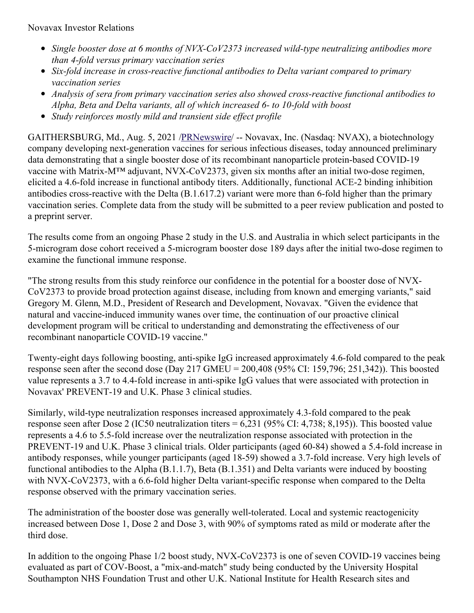Novavax Investor Relations

- *Single booster dose at 6 months of NVX-CoV2373 increased wild-type neutralizing antibodies more than 4-fold versus primary vaccination series*
- *Six-fold increase in cross-reactive functional antibodies to Delta variant compared to primary vaccination series*
- *Analysis of sera from primary vaccination series also showed cross-reactive functional antibodies to Alpha, Beta and Delta variants, all of which increased 6- to 10-fold with boost*
- *Study reinforces mostly mild and transient side ef ect profile*

GAITHERSBURG, Md., Aug. 5, 2021 [/PRNewswire](http://www.prnewswire.com/)/ -- Novavax, Inc. (Nasdaq: NVAX), a biotechnology company developing next-generation vaccines for serious infectious diseases, today announced preliminary data demonstrating that a single booster dose of its recombinant nanoparticle protein-based COVID-19 vaccine with Matrix-M™ adjuvant, NVX-CoV2373, given six months after an initial two-dose regimen, elicited a 4.6-fold increase in functional antibody titers. Additionally, functional ACE-2 binding inhibition antibodies cross-reactive with the Delta (B.1.617.2) variant were more than 6-fold higher than the primary vaccination series. Complete data from the study will be submitted to a peer review publication and posted to a preprint server.

The results come from an ongoing Phase 2 study in the U.S. and Australia in which select participants in the 5-microgram dose cohort received a 5-microgram booster dose 189 days after the initial two-dose regimen to examine the functional immune response.

"The strong results from this study reinforce our confidence in the potential for a booster dose of NVX-CoV2373 to provide broad protection against disease, including from known and emerging variants," said Gregory M. Glenn, M.D., President of Research and Development, Novavax. "Given the evidence that natural and vaccine-induced immunity wanes over time, the continuation of our proactive clinical development program will be critical to understanding and demonstrating the effectiveness of our recombinant nanoparticle COVID-19 vaccine."

Twenty-eight days following boosting, anti-spike IgG increased approximately 4.6-fold compared to the peak response seen after the second dose (Day 217 GMEU = 200,408 (95% CI: 159,796; 251,342)). This boosted value represents a 3.7 to 4.4-fold increase in anti-spike IgG values that were associated with protection in Novavax' PREVENT-19 and U.K. Phase 3 clinical studies.

Similarly, wild-type neutralization responses increased approximately 4.3-fold compared to the peak response seen after Dose 2 (IC50 neutralization titers = 6,231 (95% CI: 4,738; 8,195)). This boosted value represents a 4.6 to 5.5-fold increase over the neutralization response associated with protection in the PREVENT-19 and U.K. Phase 3 clinical trials. Older participants (aged 60-84) showed a 5.4-fold increase in antibody responses, while younger participants (aged 18-59) showed a 3.7-fold increase. Very high levels of functional antibodies to the Alpha (B.1.1.7), Beta (B.1.351) and Delta variants were induced by boosting with NVX-CoV2373, with a 6.6-fold higher Delta variant-specific response when compared to the Delta response observed with the primary vaccination series.

The administration of the booster dose was generally well-tolerated. Local and systemic reactogenicity increased between Dose 1, Dose 2 and Dose 3, with 90% of symptoms rated as mild or moderate after the third dose.

In addition to the ongoing Phase 1/2 boost study, NVX-CoV2373 is one of seven COVID-19 vaccines being evaluated as part of COV-Boost, a "mix-and-match" study being conducted by the University Hospital Southampton NHS Foundation Trust and other U.K. National Institute for Health Research sites and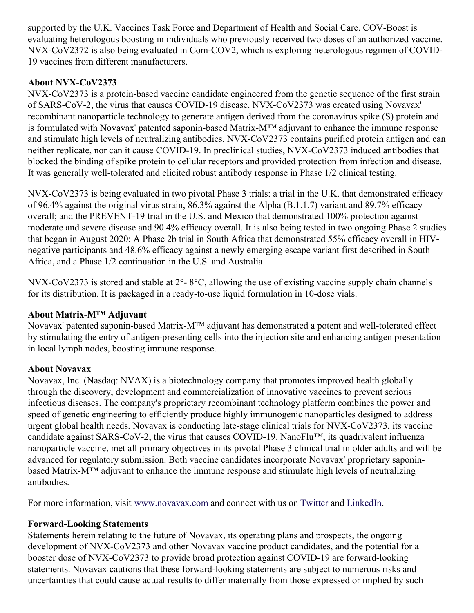supported by the U.K. Vaccines Task Force and Department of Health and Social Care. COV-Boost is evaluating heterologous boosting in individuals who previously received two doses of an authorized vaccine. NVX-CoV2372 is also being evaluated in Com-COV2, which is exploring heterologous regimen of COVID-19 vaccines from different manufacturers.

# **About NVX-CoV2373**

NVX-CoV2373 is a protein-based vaccine candidate engineered from the genetic sequence of the first strain of SARS-CoV-2, the virus that causes COVID-19 disease. NVX-CoV2373 was created using Novavax' recombinant nanoparticle technology to generate antigen derived from the coronavirus spike (S) protein and is formulated with Novavax' patented saponin-based Matrix-M™ adjuvant to enhance the immune response and stimulate high levels of neutralizing antibodies. NVX-CoV2373 contains purified protein antigen and can neither replicate, nor can it cause COVID-19. In preclinical studies, NVX-CoV2373 induced antibodies that blocked the binding of spike protein to cellular receptors and provided protection from infection and disease. It was generally well-tolerated and elicited robust antibody response in Phase 1/2 clinical testing.

NVX-CoV2373 is being evaluated in two pivotal Phase 3 trials: a trial in the U.K. that demonstrated efficacy of 96.4% against the original virus strain, 86.3% against the Alpha (B.1.1.7) variant and 89.7% efficacy overall; and the PREVENT-19 trial in the U.S. and Mexico that demonstrated 100% protection against moderate and severe disease and 90.4% efficacy overall. It is also being tested in two ongoing Phase 2 studies that began in August 2020: A Phase 2b trial in South Africa that demonstrated 55% efficacy overall in HIVnegative participants and 48.6% efficacy against a newly emerging escape variant first described in South Africa, and a Phase 1/2 continuation in the U.S. and Australia.

NVX-CoV2373 is stored and stable at 2°- 8°C, allowing the use of existing vaccine supply chain channels for its distribution. It is packaged in a ready-to-use liquid formulation in 10-dose vials.

## **About Matrix-M™ Adjuvant**

Novavax' patented saponin-based Matrix-M™ adjuvant has demonstrated a potent and well-tolerated effect by stimulating the entry of antigen-presenting cells into the injection site and enhancing antigen presentation in local lymph nodes, boosting immune response.

## **About Novavax**

Novavax, Inc. (Nasdaq: NVAX) is a biotechnology company that promotes improved health globally through the discovery, development and commercialization of innovative vaccines to prevent serious infectious diseases. The company's proprietary recombinant technology platform combines the power and speed of genetic engineering to efficiently produce highly immunogenic nanoparticles designed to address urgent global health needs. Novavax is conducting late-stage clinical trials for NVX-CoV2373, its vaccine candidate against SARS-CoV-2, the virus that causes COVID-19. NanoFlu™, its quadrivalent influenza nanoparticle vaccine, met all primary objectives in its pivotal Phase 3 clinical trial in older adults and will be advanced for regulatory submission. Both vaccine candidates incorporate Novavax' proprietary saponinbased Matrix-M™ adjuvant to enhance the immune response and stimulate high levels of neutralizing antibodies.

For more information, visit [www.novavax.com](https://c212.net/c/link/?t=0&l=en&o=3251546-1&h=944830596&u=http%3A%2F%2Fwww.novavax.com%2F&a=www.novavax.com) and connect with us on [Twitter](https://c212.net/c/link/?t=0&l=en&o=3251546-1&h=3667673888&u=https%3A%2F%2Fc212.net%2Fc%2Flink%2F%3Ft%3D0%26l%3Den%26o%3D3158017-1%26h%3D500821283%26u%3Dhttps%253A%252F%252Ftwitter.com%252FNovavax%26a%3DTwitter&a=Twitter) and [LinkedIn](https://c212.net/c/link/?t=0&l=en&o=3251546-1&h=3440254179&u=https%3A%2F%2Fc212.net%2Fc%2Flink%2F%3Ft%3D0%26l%3Den%26o%3D3158017-1%26h%3D3702938248%26u%3Dhttps%253A%252F%252Fwww.linkedin.com%252Fcompany%252Fnovavax%252F%26a%3DLinkedIn&a=LinkedIn).

## **Forward-Looking Statements**

Statements herein relating to the future of Novavax, its operating plans and prospects, the ongoing development of NVX-CoV2373 and other Novavax vaccine product candidates, and the potential for a booster dose of NVX-CoV2373 to provide broad protection against COVID-19 are forward-looking statements. Novavax cautions that these forward-looking statements are subject to numerous risks and uncertainties that could cause actual results to differ materially from those expressed or implied by such